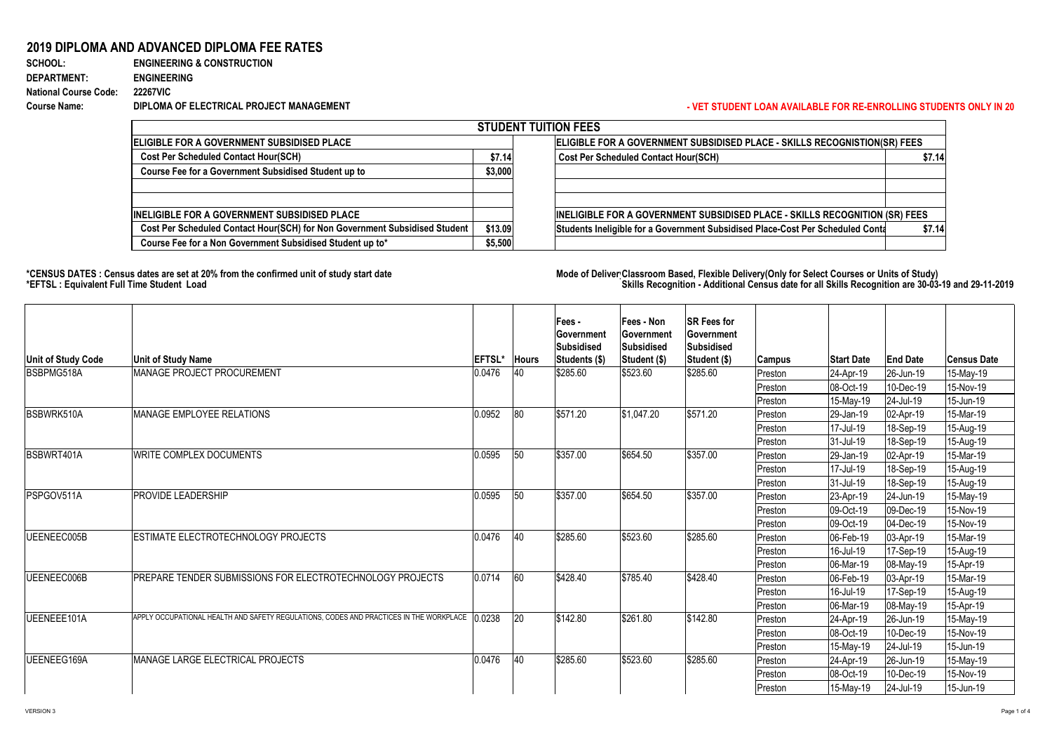## **- VET STUDENT LOAN AVAILABLE FOR RE-ENROLLING STUDENTS ONLY IN 20**

## **2019 DIPLOMA AND ADVANCED DIPLOMA FEE RATES**

| <b>SCHOOL:</b>               | <b>ENGINEERING &amp; CONSTRUCTION</b>    |
|------------------------------|------------------------------------------|
| <b>DEPARTMENT:</b>           | <b>ENGINEERING</b>                       |
| <b>National Course Code:</b> | <b>22267VIC</b>                          |
| <b>Course Name:</b>          | DIPLOMA OF ELECTRICAL PROJECT MANAGEMENT |

|                                                                            |         | <b>STUDENT TUITION FEES</b>                                                    |         |  |  |  |  |
|----------------------------------------------------------------------------|---------|--------------------------------------------------------------------------------|---------|--|--|--|--|
| <b>ELIGIBLE FOR A GOVERNMENT SUBSIDISED PLACE</b>                          |         | ELIGIBLE FOR A GOVERNMENT SUBSIDISED PLACE - SKILLS RECOGNISTION(SR) FEES      |         |  |  |  |  |
| <b>Cost Per Scheduled Contact Hour(SCH)</b>                                | \$7.14  | <b>Cost Per Scheduled Contact Hour(SCH)</b>                                    | \$7.14] |  |  |  |  |
| Course Fee for a Government Subsidised Student up to                       | \$3,000 |                                                                                |         |  |  |  |  |
|                                                                            |         |                                                                                |         |  |  |  |  |
| <b>INELIGIBLE FOR A GOVERNMENT SUBSIDISED PLACE</b>                        |         | INELIGIBLE FOR A GOVERNMENT SUBSIDISED PLACE - SKILLS RECOGNITION (SR) FEES    |         |  |  |  |  |
| Cost Per Scheduled Contact Hour(SCH) for Non Government Subsidised Student | \$13.09 | Students Ineligible for a Government Subsidised Place-Cost Per Scheduled Conta | \$7.14] |  |  |  |  |
| Course Fee for a Non Government Subsidised Student up to*                  | \$5,500 |                                                                                |         |  |  |  |  |

## \*CENSUS DATES : Census dates are set at 20% from the confirmed unit of study start date **Mode of Deliver Classroom Based, Flexible** Delivery(Only for Select Courses or Units of Study) **\*EFTSL : Equivalent Full Time Student Load Skills Recognition - Additional Census date for all Skills Recognition are 30-03-19 and 29-11-2019**

| <b>STUDENT TL</b>                                                          |         |  |  |  |  |
|----------------------------------------------------------------------------|---------|--|--|--|--|
| <b>ELIGIBLE FOR A GOVERNMENT SUBSIDISED PLACE</b>                          |         |  |  |  |  |
| <b>Cost Per Scheduled Contact Hour(SCH)</b>                                | \$7.14  |  |  |  |  |
| <b>Course Fee for a Government Subsidised Student up to</b>                | \$3,000 |  |  |  |  |
|                                                                            |         |  |  |  |  |
| <b>IINELIGIBLE FOR A GOVERNMENT SUBSIDISED PLACE</b>                       |         |  |  |  |  |
| Cost Per Scheduled Contact Hour(SCH) for Non Government Subsidised Student | \$13.09 |  |  |  |  |
| Course Fee for a Non Government Subsidised Student up to*                  | \$5,500 |  |  |  |  |

| <b>Unit of Study Code</b> | <b>Unit of Study Name</b>                                                                     | <b>EFTSL*</b> | <b>Hours</b> | <b>Fees -</b><br><b>Sovernment</b><br><b>Subsidised</b><br><b>Students (\$)</b> | <b>Fees - Non</b><br><b>Government</b><br>Subsidised<br>Student (\$) | <b>SR Fees for</b><br><b>Government</b><br><b>Subsidised</b><br><b>Student (\$)</b> | <b>Campus</b> | <b>Start Date</b>        | <b>End Date</b>        | Census Date       |
|---------------------------|-----------------------------------------------------------------------------------------------|---------------|--------------|---------------------------------------------------------------------------------|----------------------------------------------------------------------|-------------------------------------------------------------------------------------|---------------|--------------------------|------------------------|-------------------|
| <b>BSBPMG518A</b>         | MANAGE PROJECT PROCUREMENT                                                                    | 0.0476        | 40           | \$285.60                                                                        | \$523.60                                                             | \$285.60                                                                            | Preston       | $ 24 - Apr-19 $          | $ 26 - Jun - 19 $      | $ 15$ -May-19     |
|                           |                                                                                               |               |              |                                                                                 |                                                                      |                                                                                     | Preston       | 08-Oct-19                | 10-Dec-19              | 15-Nov-19         |
|                           |                                                                                               |               |              |                                                                                 |                                                                      |                                                                                     | Preston       | 15-May-19                | $ 24 -$ Jul-19         | 15-Jun-19         |
| BSBWRK510A                | <b>MANAGE EMPLOYEE RELATIONS</b>                                                              | 0.0952        | 80           | \$571.20                                                                        | \$1,047.20                                                           | \$571.20                                                                            | Preston       | $ 29 - Jan - 19 $        | $ 02 - Apr-19 $        | $ 15$ -Mar-19     |
|                           |                                                                                               |               |              |                                                                                 |                                                                      |                                                                                     | Preston       | 17-Jul-19                | 18-Sep-19              | 15-Aug-19         |
|                           |                                                                                               |               |              |                                                                                 |                                                                      |                                                                                     | Preston       | $ 31 -$ Jul-19           | $ 18 - \text{Sep-19} $ | 15-Aug-19         |
| <b>BSBWRT401A</b>         | <b>WRITE COMPLEX DOCUMENTS</b>                                                                | 0.0595        | 50           | \$357.00                                                                        | \$654.50                                                             | \$357.00                                                                            | Preston       | $ 29 - Jan - 19 $        | $ 02 - Apr-19 $        | 15-Mar-19         |
|                           |                                                                                               |               |              |                                                                                 |                                                                      |                                                                                     | Preston       | 17-Jul-19                | 18-Sep-19              | 15-Aug-19         |
|                           |                                                                                               |               |              |                                                                                 |                                                                      |                                                                                     | Preston       | $ 31 -$ Jul-19           | 18-Sep-19              | 15-Aug-19         |
| PSPGOV511A                | PROVIDE LEADERSHIP                                                                            | 0.0595        | 50           | \$357.00                                                                        | \$654.50                                                             | \$357.00                                                                            | Preston       | $ 23 - Apr-19 $          | $ 24$ -Jun-19          | $ 15$ -May-19     |
|                           |                                                                                               |               |              |                                                                                 |                                                                      |                                                                                     | Preston       | 09-Oct-19                | 09-Dec-19              | 15-Nov-19         |
|                           |                                                                                               |               |              |                                                                                 |                                                                      |                                                                                     | Preston       | 09-Oct-19                | $ 04 - Dec - 19 $      | 15-Nov-19         |
| UEENEEC005B               | <b>ESTIMATE ELECTROTECHNOLOGY PROJECTS</b>                                                    | 0.0476        | 40           | \$285.60                                                                        | \$523.60                                                             | \$285.60                                                                            | Preston       | 06-Feb-19_               | $ 03 - Apr - 19 $      | 15-Mar-19         |
|                           |                                                                                               |               |              |                                                                                 |                                                                      |                                                                                     | Preston       | $16$ -Jul-19             | $ 17 - \text{Sep-19} $ | 15-Aug-19         |
|                           |                                                                                               |               |              |                                                                                 |                                                                      |                                                                                     | Preston       | 06-Mar-19                | $ 08 - May - 19 $      | $ 15 - Apr-19 $   |
| UEENEEC006B               | PREPARE TENDER SUBMISSIONS FOR ELECTROTECHNOLOGY PROJECTS                                     | 0.0714        | 60           | \$428.40                                                                        | \$785.40                                                             | \$428.40                                                                            | Preston       | $ 06 - \text{Feb} - 19 $ | $ 03 - Apr-19 $        | 15-Mar-19         |
|                           |                                                                                               |               |              |                                                                                 |                                                                      |                                                                                     | Preston       | 16-Jul-19                | $ 17 - \text{Sep-19} $ | 15-Aug-19         |
|                           |                                                                                               |               |              |                                                                                 |                                                                      |                                                                                     | Preston       | $ 06$ -Mar-19            | $ 08 - May - 19 $      | $ 15 - Apr - 19 $ |
| UEENEEE101A               | APPLY OCCUPATIONAL HEALTH AND SAFETY REGULATIONS, CODES AND PRACTICES IN THE WORKPLACE 0.0238 |               | <b>20</b>    | \$142.80                                                                        | \$261.80                                                             | \$142.80                                                                            | Preston       | $ 24 - Apr-19 $          | $ 26 - Jun-19 $        | 15-May-19         |
|                           |                                                                                               |               |              |                                                                                 |                                                                      |                                                                                     | Preston       | $ 08 - Oct - 19 $        | 10-Dec-19              | 15-Nov-19         |
|                           |                                                                                               |               |              |                                                                                 |                                                                      |                                                                                     | Preston       | $ 15$ -May-19            | $ 24 -$ Jul-19         | 15-Jun-19         |
| <b>IUEENEEG169A</b>       | <b>MANAGE LARGE ELECTRICAL PROJECTS</b>                                                       | 0.0476        | <b>40</b>    | \$285.60                                                                        | \$523.60                                                             | \$285.60                                                                            | Preston       | $ 24 - Apr-19 $          | $ 26 - Jun-19 $        | $ 15$ -May-19     |
|                           |                                                                                               |               |              |                                                                                 |                                                                      |                                                                                     | Preston       | $ 08 - Oct - 19 $        | 10-Dec-19              | $ 15-Nov-19 $     |
|                           |                                                                                               |               |              |                                                                                 |                                                                      |                                                                                     | Preston       | 15-May-19                | 24-Jul-19              | 15-Jun-19         |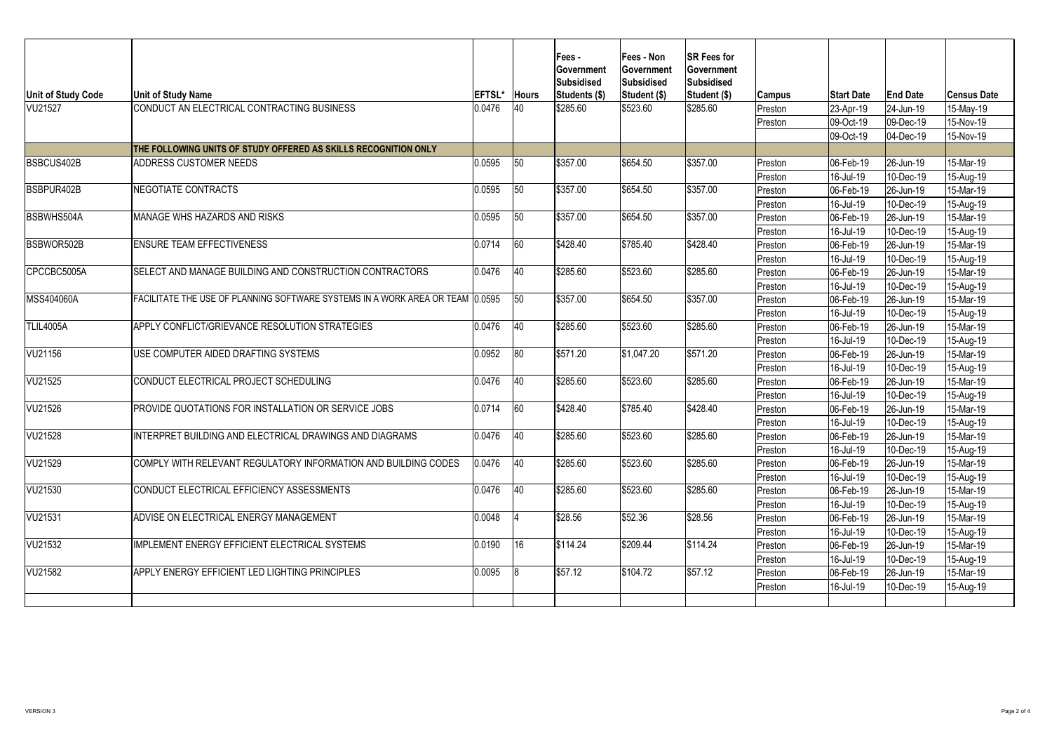| <b>Unit of Study Code</b> | <b>Unit of Study Name</b>                                                     | <b>EFTSL'</b> | <b>Hours</b> | <b>Fees -</b><br><b>Sovernment</b><br><b>Subsidised</b><br>Students (\$) | <b>Fees - Non</b><br><b>Government</b><br>Subsidised<br>Student (\$) | <b>SR Fees for</b><br><b>Government</b><br>Subsidised<br>Student (\$) |                          | <b>Start Date</b>        | <b>End Date</b>   | ∣Census Date      |
|---------------------------|-------------------------------------------------------------------------------|---------------|--------------|--------------------------------------------------------------------------|----------------------------------------------------------------------|-----------------------------------------------------------------------|--------------------------|--------------------------|-------------------|-------------------|
| VU21527                   | CONDUCT AN ELECTRICAL CONTRACTING BUSINESS                                    | 0.0476        | 40           | \$285.60                                                                 | \$523.60                                                             | \$285.60                                                              | <b>Campus</b><br>Preston | $ 23 - Apr-19 $          | $ 24$ -Jun-19     | 15-May-19         |
|                           |                                                                               |               |              |                                                                          |                                                                      |                                                                       | Preston                  | 09-Oct-19                | 09-Dec-19         | 15-Nov-19         |
|                           |                                                                               |               |              |                                                                          |                                                                      |                                                                       |                          | 09-Oct-19                | 04-Dec-19         | 15-Nov-19         |
|                           | THE FOLLOWING UNITS OF STUDY OFFERED AS SKILLS RECOGNITION ONLY               |               |              |                                                                          |                                                                      |                                                                       |                          |                          |                   |                   |
| <b>BSBCUS402B</b>         | <b>ADDRESS CUSTOMER NEEDS</b>                                                 | 0.0595        | 50           | \$357.00                                                                 | \$654.50                                                             | \$357.00                                                              | Preston                  | 06-Feb-19                | $ 26 - Jun - 19 $ | 15-Mar-19         |
|                           |                                                                               |               |              |                                                                          |                                                                      |                                                                       | Preston                  | 16-Jul-19                | 10-Dec-19         | 15-Aug-19         |
| BSBPUR402B                | NEGOTIATE CONTRACTS                                                           | 0.0595        | 50           | \$357.00                                                                 | \$654.50                                                             | \$357.00                                                              | Preston                  | 06-Feb-19                | $ 26 - Jun-19 $   | 15-Mar-19         |
|                           |                                                                               |               |              |                                                                          |                                                                      |                                                                       | Preston                  | 16-Jul-19                | 10-Dec-19         | 15-Aug-19         |
| <b>BSBWHS504A</b>         | MANAGE WHS HAZARDS AND RISKS                                                  | 0.0595        | 50           | \$357.00                                                                 | \$654.50                                                             | \$357.00                                                              | Preston                  | 06-Feb-19                | $ 26 - Jun-19 $   | 15-Mar-19         |
|                           |                                                                               |               |              |                                                                          |                                                                      |                                                                       | Preston                  | 16-Jul-19                | 10-Dec-19         | 15-Aug-19         |
| <b>BSBWOR502B</b>         | <b>ENSURE TEAM EFFECTIVENESS</b>                                              | 0.0714        | 60           | \$428.40                                                                 | \$785.40                                                             | \$428.40                                                              | Preston                  | $ 06 - Feb - 19 $        | $ 26 - Jun - 19 $ | 15-Mar-19         |
|                           |                                                                               |               |              |                                                                          |                                                                      |                                                                       | Preston                  | 16-Jul-19                | 10-Dec-19         | 15-Aug-19         |
| CPCCBC5005A               | SELECT AND MANAGE BUILDING AND CONSTRUCTION CONTRACTORS                       | 0.0476        | <b>40</b>    | \$285.60                                                                 | \$523.60                                                             | \$285.60                                                              | Preston                  | 06-Feb-19                | $ 26 - Jun-19 $   | 15-Mar-19         |
|                           |                                                                               |               |              |                                                                          |                                                                      |                                                                       | Preston                  | $16$ -Jul-19             | 10-Dec-19         | 15-Aug-19         |
| <b>MSS404060A</b>         | FACILITATE THE USE OF PLANNING SOFTWARE SYSTEMS IN A WORK AREA OR TEAM 0.0595 |               | 50           | \$357.00                                                                 | \$654.50                                                             | \$357.00                                                              | Preston                  | 06-Feb-19                | $ 26 - Jun - 19 $ | 15-Mar-19         |
|                           |                                                                               |               |              |                                                                          |                                                                      |                                                                       | Preston                  | 16-Jul-19                | 10-Dec-19         | 15-Aug-19         |
| TLIL4005A                 | APPLY CONFLICT/GRIEVANCE RESOLUTION STRATEGIES                                | 0.0476        | 40           | \$285.60                                                                 | \$523.60                                                             | \$285.60                                                              | Preston                  | 106-Feb-19               | $ 26 - Jun - 19 $ | 15-Mar-19         |
|                           |                                                                               |               |              |                                                                          |                                                                      |                                                                       | Preston                  | $16$ -Jul-19             | 10-Dec-19         | 15-Aug-19         |
| VU21156                   | USE COMPUTER AIDED DRAFTING SYSTEMS                                           | 0.0952        | 80           | \$571.20                                                                 | $\frac{1}{9}1,047.20$                                                | \$571.20                                                              | Preston                  | 06-Feb-19                | $ 26 - Jun-19 $   | 15-Mar-19         |
|                           |                                                                               |               |              |                                                                          |                                                                      |                                                                       | Preston                  | $16$ -Jul-19             | 10-Dec-19         | $ 15 - Aug-19 $   |
| VU21525                   | CONDUCT ELECTRICAL PROJECT SCHEDULING                                         | 0.0476        | 40           | \$285.60                                                                 | \$523.60                                                             | \$285.60                                                              | Preston                  | $ 06 - Feb - 19 $        | $ 26 - Jun-19 $   | 15-Mar-19         |
|                           |                                                                               |               |              |                                                                          |                                                                      |                                                                       | Preston                  | $16$ -Jul-19             | 10-Dec-19         | 15-Aug-19         |
| VU21526                   | PROVIDE QUOTATIONS FOR INSTALLATION OR SERVICE JOBS                           | 0.0714        | 60           | \$428.40                                                                 | \$785.40                                                             | \$428.40                                                              | Preston                  | $ 06 - \text{Feb} - 19 $ | $ 26 - Jun - 19 $ | 15-Mar-19         |
|                           |                                                                               |               |              |                                                                          |                                                                      |                                                                       | Preston                  | $16$ -Jul-19             | 10-Dec-19         | 15-Aug-19         |
| <b>VU21528</b>            | INTERPRET BUILDING AND ELECTRICAL DRAWINGS AND DIAGRAMS                       | 0.0476        | 40           | \$285.60                                                                 | \$523.60                                                             | \$285.60                                                              | Preston                  | $ 06 - Feb - 19 $        | $ 26 - Jun-19 $   | 15-Mar-19         |
|                           |                                                                               |               |              |                                                                          |                                                                      |                                                                       | Preston                  | $16$ -Jul-19             | 10-Dec-19         | 15-Aug-19         |
| VU21529                   | COMPLY WITH RELEVANT REGULATORY INFORMATION AND BUILDING CODES                | 0.0476        | 40           | \$285.60                                                                 | \$523.60                                                             | \$285.60                                                              | Preston                  | 06-Feb-19                | $ 26 - Jun-19 $   | 15-Mar-19         |
|                           |                                                                               |               |              |                                                                          |                                                                      |                                                                       | Preston                  | 16-Jul-19                | 10-Dec-19         | 15-Aug-19         |
| VU21530                   | CONDUCT ELECTRICAL EFFICIENCY ASSESSMENTS                                     | 0.0476        | 40           | \$285.60                                                                 | \$523.60                                                             | \$285.60                                                              | Preston                  | $ 06 - Feb - 19 $        | $ 26 - Jun-19 $   | 15-Mar-19         |
|                           |                                                                               |               |              |                                                                          |                                                                      |                                                                       | Preston                  | $16$ -Jul-19             | 10-Dec-19         | 15-Aug-19         |
| VU21531                   | ADVISE ON ELECTRICAL ENERGY MANAGEMENT                                        | 0.0048        |              | \$28.56                                                                  | \$52.36                                                              | \$28.56                                                               | Preston                  | $ 06 - Feb - 19 $        | $ 26 - Jun-19 $   | 15-Mar-19         |
|                           |                                                                               |               |              |                                                                          |                                                                      |                                                                       | Preston                  | $16$ -Jul-19             | 10-Dec-19         | $ 15 - Aug-19 $   |
| VU21532                   | IMPLEMENT ENERGY EFFICIENT ELECTRICAL SYSTEMS                                 | 0.0190        | 16           | \$114.24                                                                 | \$209.44                                                             | \$114.24                                                              | Preston                  | $ 06 - Feb - 19 $        | $ 26 - Jun-19 $   | 15-Mar-19         |
|                           |                                                                               |               |              |                                                                          |                                                                      |                                                                       | Preston                  | 16-Jul-19                | $ 10 - Dec - 19 $ | $15-Aug-19$       |
| <b>VU21582</b>            | APPLY ENERGY EFFICIENT LED LIGHTING PRINCIPLES                                | 0.0095        |              | \$57.12                                                                  | \$104.72                                                             | \$57.12                                                               | Preston                  | $ 06 - Feb - 19 $        | $ 26 - Jun-19 $   | 15-Mar-19         |
|                           |                                                                               |               |              |                                                                          |                                                                      |                                                                       | Preston                  | 16-Jul-19                | $ 10 - Dec - 19 $ | $ 15 - Aug - 19 $ |
|                           |                                                                               |               |              |                                                                          |                                                                      |                                                                       |                          |                          |                   |                   |